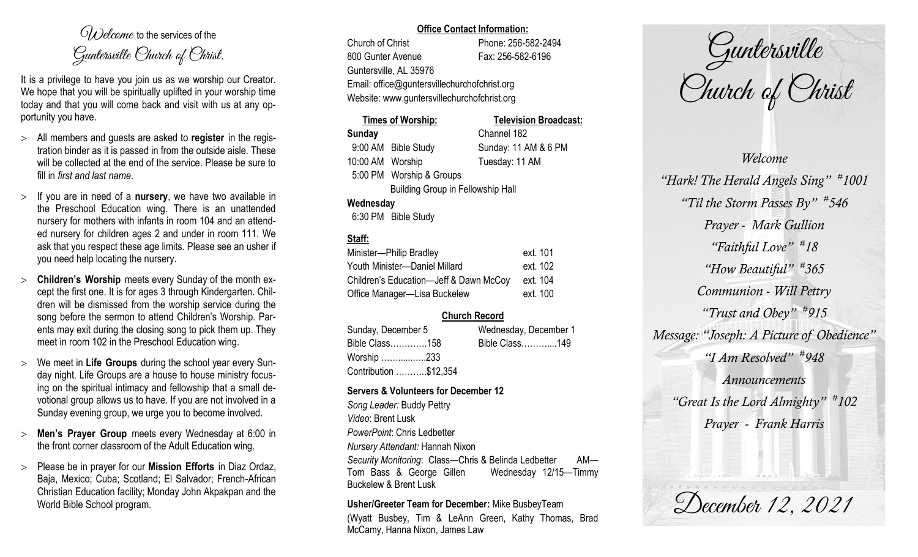$O(\lambda)$  elcame to the services of the Guntersville Church of Christ.

It is a privilege to have you join us as we worship our Creator. We hope that you will be spiritually uplifted in your worship time today and that you will come back and visit with us at any opportunity you have.

- All members and guests are asked to **register** in the registration binder as it is passed in from the outside aisle. These will be collected at the end of the service. Please be sure to fill in *first and last name*.
- $>$  If you are in need of a **nursery**, we have two available in the Preschool Education wing. There is an unattended nursery for mothers with infants in room 104 and an attended nursery for children ages 2 and under in room 111. We ask that you respect these age limits. Please see an usher if you need help locating the nursery.
- **Children's Worship** meets every Sunday of the month except the first one. It is for ages 3 through Kindergarten. Children will be dismissed from the worship service during the song before the sermon to attend Children's Worship. Parents may exit during the closing song to pick them up. They meet in room 102 in the Preschool Education wing.
- We meet in **Life Groups** during the school year every Sunday night. Life Groups are a house to house ministry focusing on the spiritual intimacy and fellowship that a small devotional group allows us to have. If you are not involved in a Sunday evening group, we urge you to become involved.
- **Men's Prayer Group** meets every Wednesday at 6:00 in the front corner classroom of the Adult Education wing.
- Please be in prayer for our **Mission Efforts** in Diaz Ordaz, Baja, Mexico; Cuba; Scotland; El Salvador; French-African Christian Education facility; Monday John Akpakpan and the World Bible School program.

#### **Office Contact Information:**

Church of Christ Phone: 256-582-2494 800 Gunter Avenue Fax: 256-582-6196 Guntersville, AL 35976 Email: office@guntersvillechurchofchrist.org Website: www.guntersvillechurchofchrist.org

# **Times of Worship: Television Broadcast: Sunday** Channel 182 9:00 AM Bible Study Sunday: 11 AM & 6 PM 10:00 AM Worship Tuesday: 11 AM 5:00 PM Worship & Groups Building Group in Fellowship Hall **Wednesday**

6:30 PM Bible Study

### **Staff:**

| Minister-Philip Bradley                | ext. 101 |
|----------------------------------------|----------|
| Youth Minister-Daniel Millard          | ext. 102 |
| Children's Education-Jeff & Dawn McCoy | ext. 104 |
| Office Manager-Lisa Buckelew           | ext. 100 |

# **Church Record**

| Sunday, December 5    |  | Wednesday, December 1 |  |
|-----------------------|--|-----------------------|--|
| Bible Class158        |  | Bible Class149        |  |
| Worship 233           |  |                       |  |
| Contribution \$12,354 |  |                       |  |

#### **Servers & Volunteers for December 12**

*Song Leader:* Buddy Pettry *Video*: Brent Lusk *PowerPoint*: Chris Ledbetter *Nursery Attendant:* Hannah Nixon *Security Monitoring*: Class—Chris & Belinda Ledbetter AM— Tom Bass & George Gillen Wednesday 12/15—Timmy Buckelew & Brent Lusk

**Usher/Greeter Team for December:** Mike BusbeyTeam

(Wyatt Busbey, Tim & LeAnn Green, Kathy Thomas, Brad McCamy, Hanna Nixon, James Law

Guntersville Church of Christ

*Welcome "Hark! The Herald Angels Sing" # 1001 "Til the Storm Passes By" # 546 Prayer - Mark Gullion "Faithful Love" # 18 "How Beautiful" # 365 Communion - Will Pettry "Trust and Obey" # 915 Message: "Joseph: A Picture of Obedience" "I Am Resolved" # 948 Announcements "Great Is the Lord Almighty" # 102 Prayer - Frank Harris*

December 12, 2021